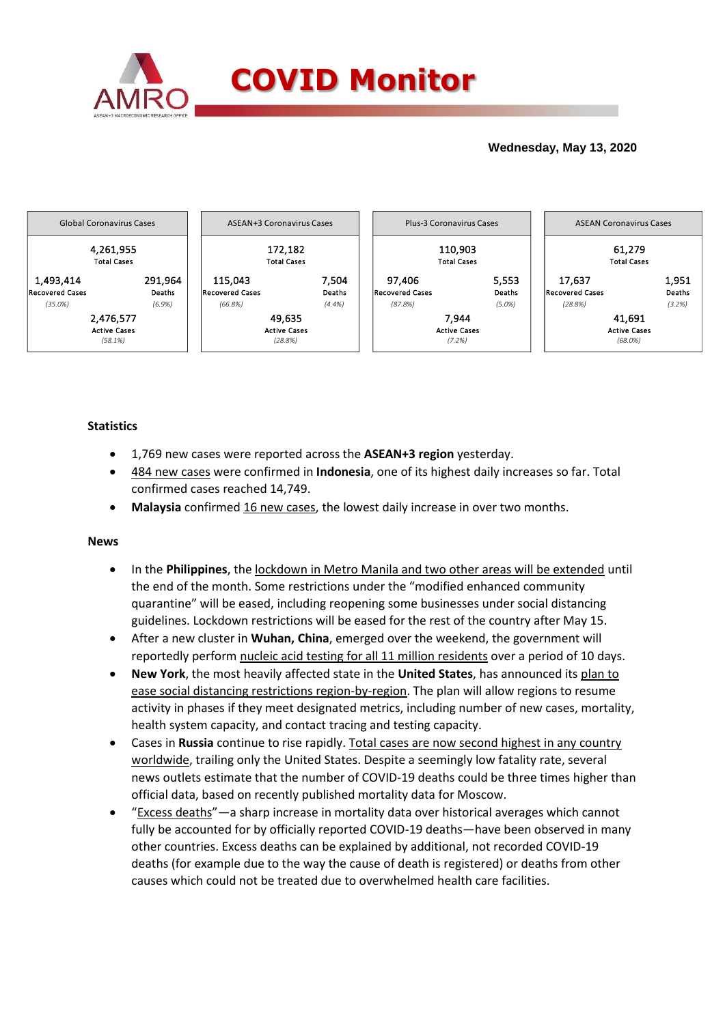

## **Wednesday, May 13, 2020**



### **Statistics**

- 1,769 new cases were reported across the **ASEAN+3 region** yesterday.
- 484 new cases were confirmed in **Indonesia**, one of its highest daily increases so far. Total confirmed cases reached 14,749.
- **Malaysia** confirmed 16 new cases, the lowest daily increase in over two months.

### **News**

- In the **Philippines**, the lockdown in Metro Manila and two other areas will be extended until the end of the month. Some restrictions under the "modified enhanced community quarantine" will be eased, including reopening some businesses under social distancing guidelines. Lockdown restrictions will be eased for the rest of the country after May 15.
- After a new cluster in **Wuhan, China**, emerged over the weekend, the government will reportedly perform nucleic acid testing for all 11 million residents over a period of 10 days.
- **New York**, the most heavily affected state in the **United States**, has announced its plan to ease social distancing restrictions region-by-region. The plan will allow regions to resume activity in phases if they meet designated metrics, including number of new cases, mortality, health system capacity, and contact tracing and testing capacity.
- Cases in **Russia** continue to rise rapidly. Total cases are now second highest in any country worldwide, trailing only the United States. Despite a seemingly low fatality rate, several news outlets estimate that the number of COVID-19 deaths could be three times higher than official data, based on recently published mortality data for Moscow.
- "Excess deaths"—a sharp increase in mortality data over historical averages which cannot fully be accounted for by officially reported COVID-19 deaths—have been observed in many other countries. Excess deaths can be explained by additional, not recorded COVID-19 deaths (for example due to the way the cause of death is registered) or deaths from other causes which could not be treated due to overwhelmed health care facilities.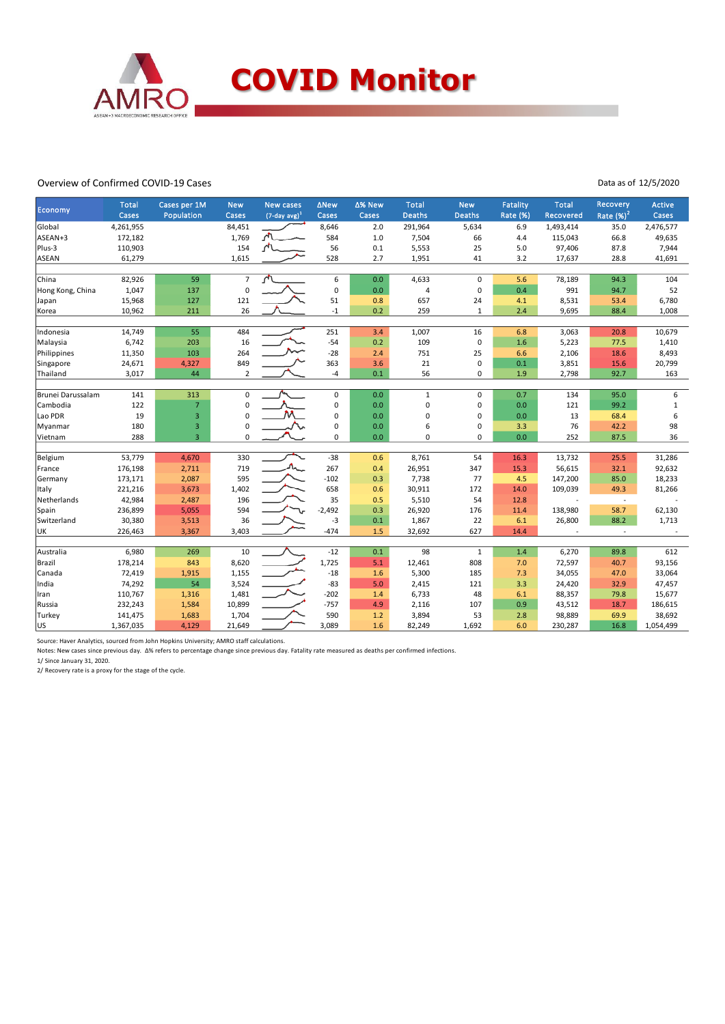

#### Overview of Confirmed COVID-19 Cases

Data as of 12/5/2020

|                     | <b>Total</b>    | Cases per 1M                              | <b>New</b>               | <b>New cases</b>            | ∆New        | ∆% New | <b>Total</b>  | <b>New</b>    | Fatality   | <b>Total</b>  | Recovery      | Active            |
|---------------------|-----------------|-------------------------------------------|--------------------------|-----------------------------|-------------|--------|---------------|---------------|------------|---------------|---------------|-------------------|
| Economy             | Cases           | Population                                | Cases                    | $(7$ -day avg) <sup>1</sup> | Cases       | Cases  | <b>Deaths</b> | <b>Deaths</b> | Rate (%)   | Recovered     | Rate $(\%)^2$ | Cases             |
| Global              | 4,261,955       |                                           | 84,451                   |                             | 8,646       | 2.0    | 291,964       | 5,634         | 6.9        | 1,493,414     | 35.0          | 2,476,577         |
| ASEAN+3             | 172,182         |                                           | 1,769                    |                             | 584         | 1.0    | 7,504         | 66            | 4.4        | 115,043       | 66.8          | 49,635            |
| Plus-3              | 110,903         |                                           | 154                      |                             | 56          | 0.1    | 5,553         | 25            | 5.0        | 97,406        | 87.8          | 7,944             |
| ASEAN               | 61,279          |                                           | 1,615                    |                             | 528         | 2.7    | 1,951         | 41            | 3.2        | 17,637        | 28.8          | 41,691            |
| China               |                 | 59                                        | $\overline{7}$           |                             | 6           | 0.0    |               | $\mathbf 0$   |            |               | 94.3          | 104               |
|                     | 82,926<br>1,047 |                                           | $\mathbf 0$              |                             | 0           | 0.0    | 4,633         | $\mathbf 0$   | 5.6<br>0.4 | 78,189<br>991 | 94.7          | 52                |
| Hong Kong, China    | 15,968          | 137<br>127                                | 121                      |                             | 51          | 0.8    | 4<br>657      | 24            | 4.1        | 8,531         | 53.4          | 6,780             |
| Japan               |                 |                                           | 26                       |                             |             |        |               |               |            |               |               |                   |
| Korea               | 10,962          | 211                                       |                          |                             | $^{\rm -1}$ | 0.2    | 259           | $\mathbf{1}$  | 2.4        | 9,695         | 88.4          | 1,008             |
| Indonesia           | 14,749          | 55                                        | 484                      |                             | 251         | 3.4    | 1,007         | 16            | 6.8        | 3,063         | 20.8          | 10,679            |
| Malaysia            | 6,742           | 203                                       | 16                       |                             | $-54$       | 0.2    | 109           | $\mathbf 0$   | $1.6\,$    | 5,223         | 77.5          | 1,410             |
| Philippines         | 11,350          | 103                                       | 264                      |                             | $-28$       | 2.4    | 751           | 25            | 6.6        | 2,106         | 18.6          | 8,493             |
| Singapore           | 24,671          | 4,327                                     | 849                      |                             | 363         | 3.6    | 21            | $\mathbf 0$   | 0.1        | 3,851         | 15.6          | 20,799            |
| Thailand            | 3,017           | 44                                        | $\overline{2}$           |                             | $-4$        | 0.1    | 56            | 0             | 1.9        | 2,798         | 92.7          | 163               |
| Brunei Darussalam   | 141             | 313                                       | 0                        |                             | $\pmb{0}$   | 0.0    | $\mathbf{1}$  | 0             | 0.7        | 134           | 95.0          | 6                 |
|                     | 122             |                                           |                          |                             | 0           | 0.0    | 0             | 0             | 0.0        |               | 99.2          |                   |
| Cambodia<br>Lao PDR |                 | $\overline{7}$                            | $\pmb{0}$<br>$\mathbf 0$ |                             |             | 0.0    | 0             | $\mathbf 0$   | 0.0        | 121<br>13     |               | $\mathbf{1}$<br>6 |
|                     | 19<br>180       | 3                                         | $\pmb{0}$                |                             | 0<br>0      | 0.0    | 6             |               | 3.3        | 76            | 68.4<br>42.2  | 98                |
| Myanmar<br>Vietnam  | 288             | $\overline{\mathbf{3}}$<br>$\overline{3}$ | $\mathbf 0$              |                             | 0           | 0.0    | $\Omega$      | 0<br>0        | 0.0        | 252           | 87.5          | 36                |
|                     |                 |                                           |                          |                             |             |        |               |               |            |               |               |                   |
| Belgium             | 53,779          | 4,670                                     | 330                      |                             | $-38$       | 0.6    | 8,761         | 54            | 16.3       | 13,732        | 25.5          | 31,286            |
| France              | 176,198         | 2,711                                     | 719                      | $\Lambda_{\!\sim}$          | 267         | 0.4    | 26,951        | 347           | 15.3       | 56,615        | 32.1          | 92,632            |
| Germany             | 173,171         | 2,087                                     | 595                      |                             | $-102$      | 0.3    | 7,738         | 77            | 4.5        | 147,200       | 85.0          | 18,233            |
| Italy               | 221,216         | 3,673                                     | 1,402                    |                             | 658         | 0.6    | 30,911        | 172           | 14.0       | 109,039       | 49.3          | 81,266            |
| Netherlands         | 42,984          | 2,487                                     | 196                      |                             | 35          | 0.5    | 5,510         | 54            | 12.8       |               | $\sim$        |                   |
| Spain               | 236,899         | 5,055                                     | 594                      |                             | $-2,492$    | 0.3    | 26,920        | 176           | 11.4       | 138,980       | 58.7          | 62,130            |
| Switzerland         | 30,380          | 3,513                                     | 36                       |                             | -3          | 0.1    | 1,867         | 22            | 6.1        | 26,800        | 88.2          | 1,713             |
| UK                  | 226,463         | 3,367                                     | 3,403                    |                             | $-474$      | 1.5    | 32,692        | 627           | 14.4       |               | $\mathcal{L}$ |                   |
| Australia           | 6,980           | 269                                       | 10                       |                             | $-12$       | 0.1    | 98            | $\mathbf{1}$  | 1.4        | 6,270         | 89.8          | 612               |
| Brazil              | 178,214         | 843                                       | 8,620                    |                             | 1,725       | 5.1    | 12,461        | 808           | 7.0        | 72,597        | 40.7          | 93,156            |
| Canada              | 72,419          | 1,915                                     | 1,155                    |                             | $-18$       | 1.6    | 5,300         | 185           | 7.3        | 34,055        | 47.0          | 33,064            |
| India               | 74,292          | 54                                        | 3,524                    |                             | $-83$       | 5.0    | 2,415         | 121           | 3.3        | 24,420        | 32.9          | 47,457            |
| Iran                | 110,767         | 1,316                                     | 1,481                    |                             | $-202$      | 1.4    | 6,733         | 48            | 6.1        | 88,357        | 79.8          | 15,677            |
| Russia              | 232,243         | 1,584                                     | 10,899                   |                             | $-757$      | 4.9    | 2,116         | 107           | 0.9        | 43,512        | 18.7          | 186,615           |
|                     | 141,475         | 1,683                                     | 1,704                    |                             | 590         | 1.2    | 3,894         | 53            | 2.8        | 98,889        | 69.9          | 38,692            |
| Turkey<br>lus       | 1,367,035       | 4,129                                     | 21,649                   |                             | 3,089       |        |               | 1,692         |            | 230,287       | 16.8          | 1,054,499         |
|                     |                 |                                           |                          |                             |             | 1.6    | 82,249        |               | 6.0        |               |               |                   |

Source: Haver Analytics, sourced from John Hopkins University; AMRO staff calculations.

Notes: New cases since previous day. Δ% refers to percentage change since previous day. Fatality rate measured as deaths per confirmed infections. 1/ Since January 31, 2020.

2/ Recovery rate is a proxy for the stage of the cycle.